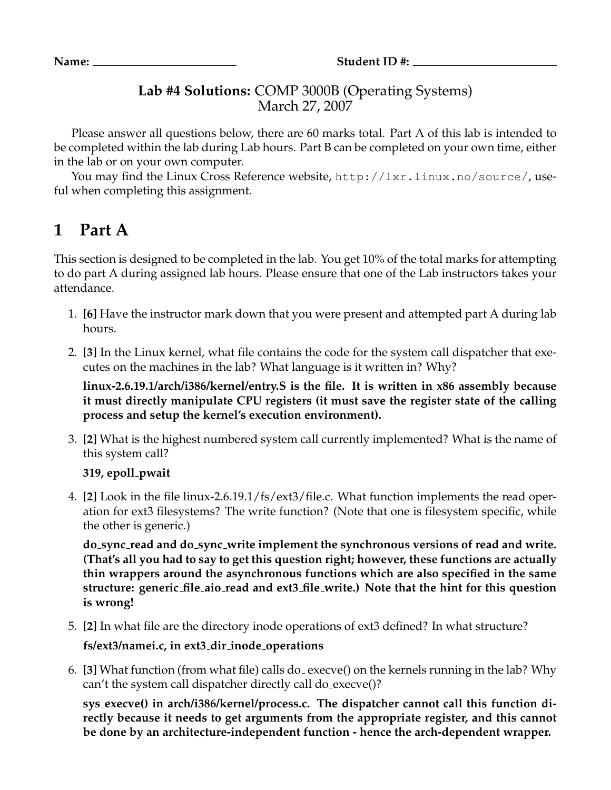## **Lab #4 Solutions:** COMP 3000B (Operating Systems) March 27, 2007

Please answer all questions below, there are 60 marks total. Part A of this lab is intended to be completed within the lab during Lab hours. Part B can be completed on your own time, either in the lab or on your own computer.

You may find the Linux Cross Reference website, http://lxr.linux.no/source/, useful when completing this assignment.

## **1 Part A**

This section is designed to be completed in the lab. You get 10% of the total marks for attempting to do part A during assigned lab hours. Please ensure that one of the Lab instructors takes your attendance.

- 1. **[6]** Have the instructor mark down that you were present and attempted part A during lab hours.
- 2. **[3]** In the Linux kernel, what file contains the code for the system call dispatcher that executes on the machines in the lab? What language is it written in? Why?

**linux-2.6.19.1/arch/i386/kernel/entry.S is the file. It is written in x86 assembly because it must directly manipulate CPU registers (it must save the register state of the calling process and setup the kernel's execution environment).**

3. **[2]** What is the highest numbered system call currently implemented? What is the name of this system call?

**319, epoll pwait**

4. **[2]** Look in the file linux-2.6.19.1/fs/ext3/file.c. What function implements the read operation for ext3 filesystems? The write function? (Note that one is filesystem specific, while the other is generic.)

**do sync read and do sync write implement the synchronous versions of read and write. (That's all you had to say to get this question right; however, these functions are actually thin wrappers around the asynchronous functions which are also specified in the same structure: generic file aio read and ext3 file write.) Note that the hint for this question is wrong!**

- 5. **[2]** In what file are the directory inode operations of ext3 defined? In what structure? **fs/ext3/namei.c, in ext3 dir inode operations**
- 6. **[3]** What function (from what file) calls do execve() on the kernels running in the lab? Why can't the system call dispatcher directly call do execve()?

**sys execve() in arch/i386/kernel/process.c. The dispatcher cannot call this function directly because it needs to get arguments from the appropriate register, and this cannot be done by an architecture-independent function - hence the arch-dependent wrapper.**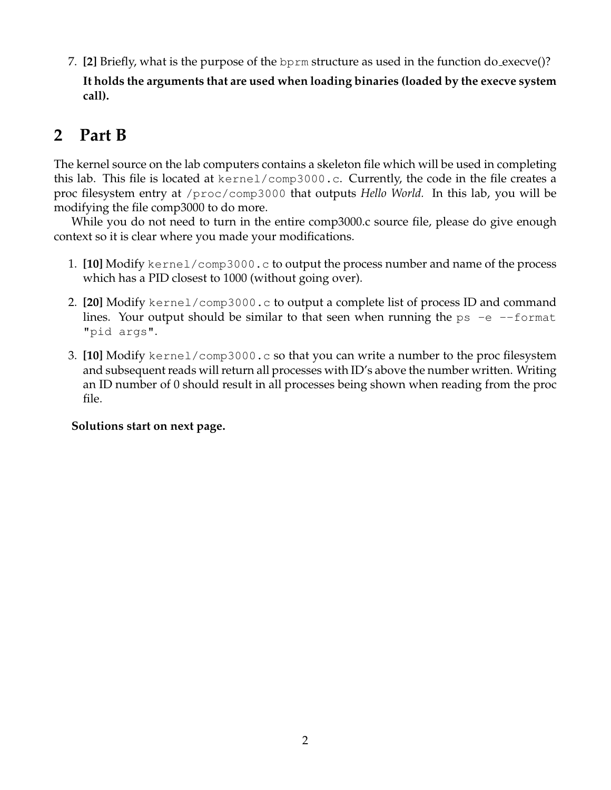7. **[2]** Briefly, what is the purpose of the bprm structure as used in the function do execve()?

**It holds the arguments that are used when loading binaries (loaded by the execve system call).**

## **2 Part B**

The kernel source on the lab computers contains a skeleton file which will be used in completing this lab. This file is located at kernel/comp3000.c. Currently, the code in the file creates a proc filesystem entry at /proc/comp3000 that outputs *Hello World.* In this lab, you will be modifying the file comp3000 to do more.

While you do not need to turn in the entire comp3000.c source file, please do give enough context so it is clear where you made your modifications.

- 1. **[10]** Modify kernel/comp3000.c to output the process number and name of the process which has a PID closest to 1000 (without going over).
- 2. **[20]** Modify kernel/comp3000.c to output a complete list of process ID and command lines. Your output should be similar to that seen when running the  $ps$  -e --format "pid args".
- 3. **[10]** Modify kernel/comp3000.c so that you can write a number to the proc filesystem and subsequent reads will return all processes with ID's above the number written. Writing an ID number of 0 should result in all processes being shown when reading from the proc file.

## **Solutions start on next page.**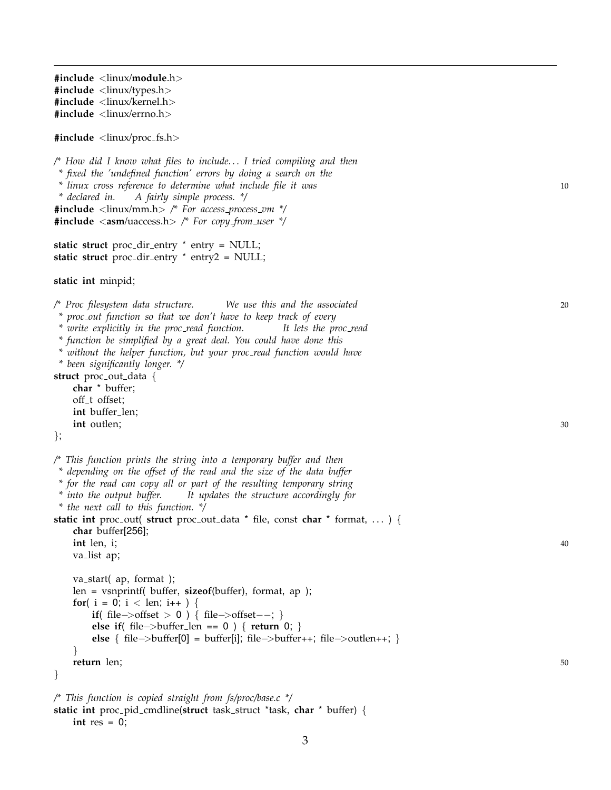**#include** <linux /**module** . h > **#include** <linux /types . h > **#include** <linux /kernel . h > **#include** <linux /errno . h >

**#include** <linux /proc fs . h >

*/\* How did I know what files to include. . . I tried compiling and then \* fixed the 'undefined function' errors by doing a search on the \* linux cross reference to determine what include file it was* 10 *\* declared in. A fairly simple process. \*/* **#include** <linux /mm . h > */\* For access process vm \*/* **#include** <**asm** /uaccess . h > */\* For copy from user \*/*

static struct proc<sub>-</sub>dir<sub>-</sub>entry \* entry = NULL; static struct proc<sub>-</sub>dir<sub>-</sub>entry \* entry2 = NULL;

**static int** minpid ;

*/\* Proc filesystem data structure. We use this and the associated* 20

*\* proc out function so that we don't have to keep track of every*

*\* write explicitly in the proc read function. It lets the proc read*

*\* function be simplified by a great deal. You could have done this*

*\* without the helper function, but your proc read function would have \* been significantly longer. \*/*

**struct** proc\_out\_data {

**char** \* buffer ; off<sub>-</sub>t offset; **int** buffer len ; int outlen;  $\frac{30}{2}$ 

} ;

*/\* This function prints the string into a temporary buffer and then*

- *\* depending on the offset of the read and the size of the data buffer*
- *\* for the read can copy all or part of the resulting temporary string*
- *\* into the output buffer. It updates the structure accordingly for*

*\* the next call to this function. \*/*

**static int** proc\_out( **struct** proc\_out\_data \* file, const **char** \* format, ... ) { **char** buffer[256]; **int** len , i  $\frac{40}{100}$ 

```
va list ap
;
     va start
( ap
, format );
     len
= vsnprintf
( buffer
, sizeof
(buffer), format
, ap );
     for( i = 0; i < len; i++ ) {
           if( file->offset > 0 ) { file->offset−−; }
           else if
( file
−
>buffer len == 0 )
{ return 0;
}
           else { file->buffer[0] = buffer[i]; file->buffer++; file->outlen++; }
     }
     return len
                   ; such that is not the contract of \sim 50 \pm 50 \pm 50 \pm 50 \pm 50 \pm 50 \pm 50 \pm 50 \pm 50 \pm 50 \pm 50 \pm 50 \pm 50 \pm 50 \pm 50 \pm 50 \pm 50 \pm 50 \pm 50 \pm 50 \pm 50 \pm 50 \pm 50 \}
```

```
/* This function is copied straight from fs/proc/base.c */
static int proc pid cmdline
(struct task struct
*task
, char
* buffer
)
{
    int res = 0;
```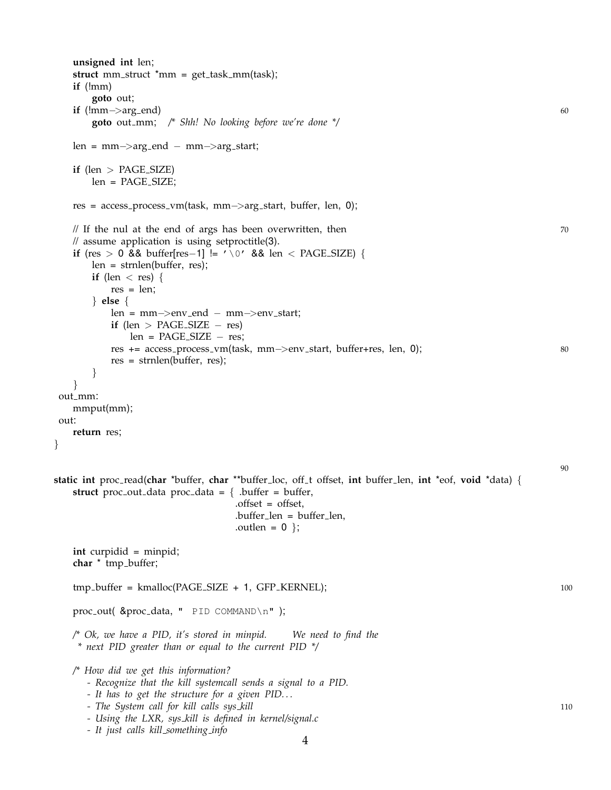```
unsigned int len;
   struct mm_struct *mm = get\_task\_mm(task);if (!mm)
       goto out;
   if (lmm>\text{arg\_end}) 60
       goto out mm; /* Shh! No looking before we're done */
   len = mm−>arg end − mm−>arg start;
   if (len > PAGE SIZE)
       len = PAGE SIZE;
   res = access process vm(task, mm−>arg start, buffer, len, 0);
   \frac{1}{10} If the nul at the end of args has been overwritten, then \frac{1}{20}// assume application is using setproctitle(3).
   if (res > 0 && buffer[res−1] != '\0' && len < PAGE SIZE) {
       len = strnlen(buffer, res);
       if (len \langle res) {
          res = len;} else {
          len = mm−>env end − mm−>env start;
          if (len > PAGE_SIZE - res)
              len = PAGE SIZE − res;
          res += access process vm(task, mm−>env start, buffer+res, len, 0); 80
          res = strnlen(buffer, res);
       }
   }
out_mm:
   mmput(mm);
out:
   return res;
}
                                                                                               90
static int proc read(char *buffer, char **buffer loc, off t offset, int buffer len, int *eof, void *data) {
   struct proc_out_data proc_data = \{ .buffer = buffer,
                                  .offset = offset,
                                  .buffer_length = buffer_length,.outlen = 0 };
   int curpidid = minpid;
   char * tmp_buffer;
   tmp_buffer = kmalloc(PAGE_SIZE + 1, GFP_KERNEL); 100
   proc_out( &proc_data, " PID COMMAND\n" );
   /* Ok, we have a PID, it's stored in minpid. We need to find the
    * next PID greater than or equal to the current PID */
   /* How did we get this information?
      - Recognize that the kill systemcall sends a signal to a PID.
      - It has to get the structure for a given PID. . .
      - The System call for kill calls sys kill 110
      - Using the LXR, sys kill is defined in kernel/signal.c
      - It just calls kill something info
```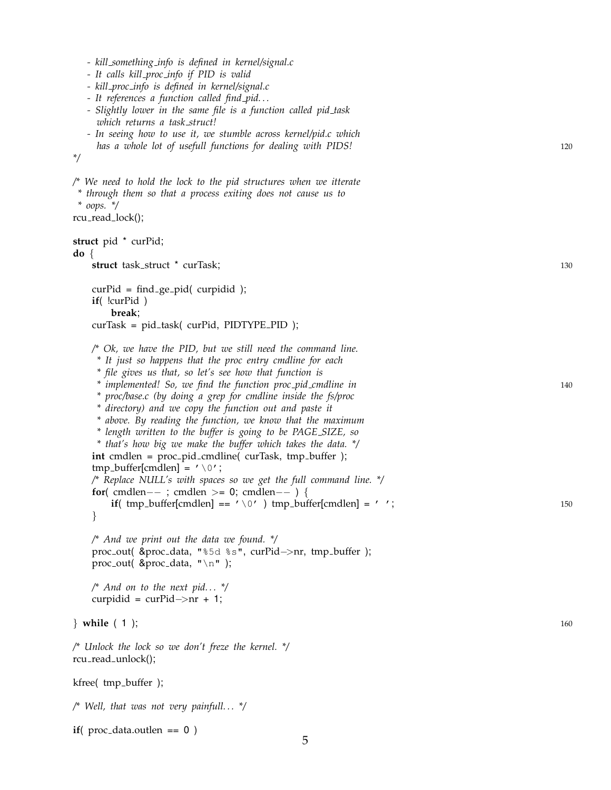| - kill_something_info is defined in kernel/signal.c<br>- It calls kill_proc_info if PID is valid<br>- kill_proc_info is defined in kernel/signal.c<br>- It references a function called find_pid<br>- Slightly lower in the same file is a function called pid_task<br>which returns a task_struct!<br>- In seeing how to use it, we stumble across kernel/pid.c which<br>has a whole lot of usefull functions for dealing with PIDS!<br>$^*/$                                                                                                                                                                                                                                                                                                                                                                                                                                | 120        |
|-------------------------------------------------------------------------------------------------------------------------------------------------------------------------------------------------------------------------------------------------------------------------------------------------------------------------------------------------------------------------------------------------------------------------------------------------------------------------------------------------------------------------------------------------------------------------------------------------------------------------------------------------------------------------------------------------------------------------------------------------------------------------------------------------------------------------------------------------------------------------------|------------|
| $\not\!\!$ We need to hold the lock to the pid structures when we itterate<br>* through them so that a process exiting does not cause us to<br>$*$ oops. $*/$<br>rcu_read_lock();                                                                                                                                                                                                                                                                                                                                                                                                                                                                                                                                                                                                                                                                                             |            |
| struct pid * curPid;                                                                                                                                                                                                                                                                                                                                                                                                                                                                                                                                                                                                                                                                                                                                                                                                                                                          |            |
| $\mathbf{do} \{$<br>struct task_struct * curTask;                                                                                                                                                                                                                                                                                                                                                                                                                                                                                                                                                                                                                                                                                                                                                                                                                             | 130        |
| $curPid = find\_ge\_pid$ (curpidid);<br>$if($ $!curPid)$<br>break;                                                                                                                                                                                                                                                                                                                                                                                                                                                                                                                                                                                                                                                                                                                                                                                                            |            |
| curTask = pid_task( curPid, PIDTYPE_PID);                                                                                                                                                                                                                                                                                                                                                                                                                                                                                                                                                                                                                                                                                                                                                                                                                                     |            |
| $\wedge$ Ok, we have the PID, but we still need the command line.<br>* It just so happens that the proc entry cmdline for each<br>* file gives us that, so let's see how that function is<br>* implemented! So, we find the function proc_pid_cmdline in<br>* proc/base.c (by doing a grep for cmdline inside the fs/proc<br>* directory) and we copy the function out and paste it<br>* above. By reading the function, we know that the maximum<br>* length written to the buffer is going to be PAGE_SIZE, so<br>* that's how big we make the buffer which takes the data. */<br>int cmdlen = proc_pid_cmdline( curTask, tmp_buffer );<br>tmp_buffer[cmdlen] = $' \setminus 0'$ ;<br>/* Replace NULL's with spaces so we get the full command line. */<br>for( cmdlen--; cmdlen >= 0; cmdlen--) {<br>if( tmp_buffer[cmdlen] == $' \lor 0'$ ) tmp_buffer[cmdlen] = '';<br>} | 140<br>150 |
| $\frac{1}{2}$ And we print out the data we found. $\frac{1}{2}$<br>proc_out( $\&$ proc_data, "%5d %s", curPid->nr, tmp_buffer );<br>proc_out( $\&$ proc_data, "\n" );                                                                                                                                                                                                                                                                                                                                                                                                                                                                                                                                                                                                                                                                                                         |            |
| /* And on to the next pid $\frac{1}{2}$<br>curpidid = $curPid \rightarrow nr + 1$ ;                                                                                                                                                                                                                                                                                                                                                                                                                                                                                                                                                                                                                                                                                                                                                                                           |            |
| } while $(1)$ ;                                                                                                                                                                                                                                                                                                                                                                                                                                                                                                                                                                                                                                                                                                                                                                                                                                                               | 160        |
| /* Unlock the lock so we don't freze the kernel. */<br>rcu_read_unlock();                                                                                                                                                                                                                                                                                                                                                                                                                                                                                                                                                                                                                                                                                                                                                                                                     |            |
| kfree( tmp_buffer );                                                                                                                                                                                                                                                                                                                                                                                                                                                                                                                                                                                                                                                                                                                                                                                                                                                          |            |
| /* Well, that was not very painfull */                                                                                                                                                                                                                                                                                                                                                                                                                                                                                                                                                                                                                                                                                                                                                                                                                                        |            |
| if( $proc\_data.outlen == 0)$                                                                                                                                                                                                                                                                                                                                                                                                                                                                                                                                                                                                                                                                                                                                                                                                                                                 |            |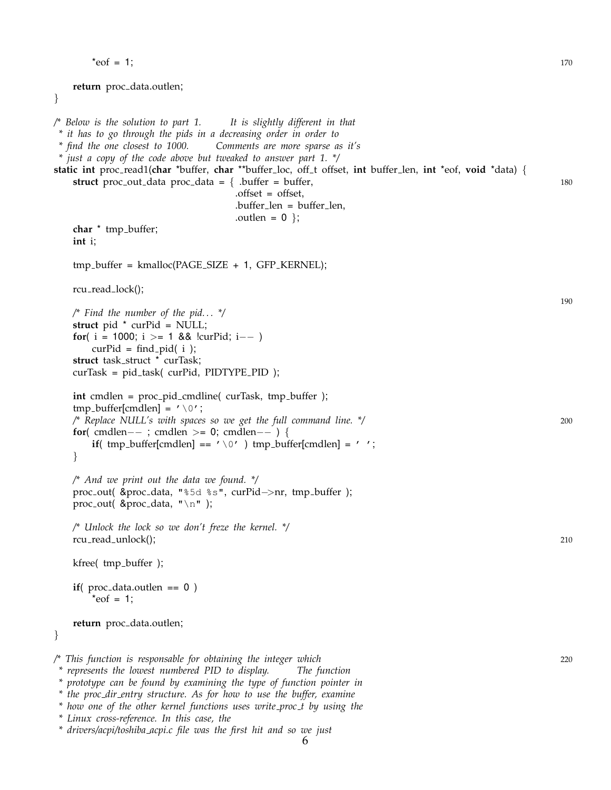```
*eof = 1; 170
   return proc_data.outlen;
}
/* Below is the solution to part 1. It is slightly different in that
* it has to go through the pids in a decreasing order in order to
* find the one closest to 1000. Comments are more sparse as it's
 * just a copy of the code above but tweaked to answer part 1. */
static int proc read1(char *buffer, char **buffer loc, off t offset, int buffer len, int *eof, void *data) {
   struct proc-out-data proc-data = \{ .buffer = buffer, 180
                                 .offset = offset,
                                 .buffer_length = buffer_length,.outlen = 0 };
   char * tmp_buffer;
   int i;
   tmp_buffer = kmalloc(PAGE_SIZE + 1, GFP_KERNEL);rcu_read_lock();
                                                                                              190
   /* Find the number of the pid. . . */
   struct pid * curPid = NULL;
   for( i = 1000; i >= 1 && |curPid; i--
       curPid = find_pid(i);struct task_struct * curTask;
   curTask = pid_task( curPid, PIDTYPE_PID);
   int cmdlen = proc_pid_cmdline( curTask, tmp_buffer );
   tmp_buffer[cmdlen] = \prime \setminus 0';
   /* Replace NULL's with spaces so we get the full command line. */ 200
   for( cmdlen−− ; cmdlen >= 0; cmdlen−− ) {
       if( tmp_buffer[cmdlen] == '\lor0' ) tmp_buffer[cmdlen] = ' ';
   }
   /* And we print out the data we found. */
   proc out( &proc data, "%5d %s", curPid−>nr, tmp buffer );
   proc_out( &proc_data, "\n" );
   /* Unlock the lock so we don't freze the kernel. */
   rcu_read_unlock(); 210
   kfree( tmp buffer );
   if( proc_data.outlen == 0)
       *eof = 1;
   return proc_data.outlen;
}
/* This function is responsable for obtaining the integer which 220
 * represents the lowest numbered PID to display. The function
 * prototype can be found by examining the type of function pointer in
 * the proc dir entry structure. As for how to use the buffer, examine
```
*<sup>\*</sup> how one of the other kernel functions uses write proc t by using the*

*<sup>\*</sup> Linux cross-reference. In this case, the*

*<sup>\*</sup> drivers/acpi/toshiba acpi.c file was the first hit and so we just*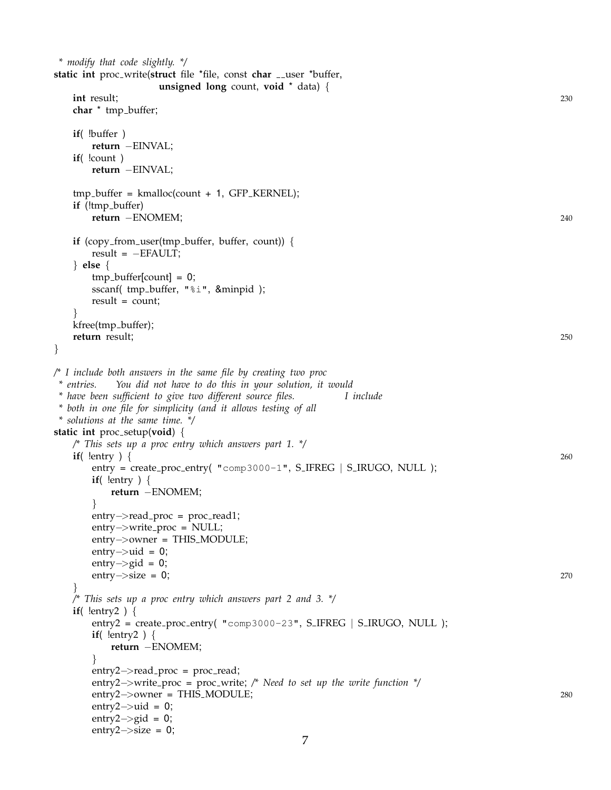```
* modify that code slightly. */
static int proc_write(struct file *file, const char __user *buffer,
                 unsigned long count, void * data) {
   int result; 230
   char * tmp_buffer;
   if( !buffer )
      return −EINVAL;
   if( !count )
      return −EINVAL;
   tmp_buffer = kmalloc(count + 1, GFP_{KERNEL});if (!tmp_buffer)
      return −ENOMEM; 240
   if (copy_from_user(tmp_buffer, buffer, count)) {
      result = -EFAULT;} else {
      tmp_buffer[count] = 0;sscanf( tmp_buffer, "%i", &minpid );
      result = count;
   }
   kfree(tmp_buffer);
   return result; 250
}
/* I include both answers in the same file by creating two proc
 * entries. You did not have to do this in your solution, it would
* have been sufficient to give two different source files. I include
* both in one file for simplicity (and it allows testing of all
* solutions at the same time. */
static int proc setup(void) {
   /* This sets up a proc entry which answers part 1. */
   if( !entry ) { 260
      entry = create\_proc\_entry( "comp3000-1", S_IFREG | S_IRUGO, NULL );if( !entry ) {
         return −ENOMEM;
      }
      entry->read_proc = proc_read1;
      entry−>write proc = NULL;
      entry−>owner = THIS MODULE;
      entry-\gtuid = 0;
      entry\rightarrowgid = 0;
      \text{entry} \rightarrow \text{size} = 0; 270
   }
   /* This sets up a proc entry which answers part 2 and 3. */
   if( !entry2 ) {
      entry2 = create_proc_entry( "comp3000-23", S_IFREG | S_IRUGO, NULL );
      if( !entry2 ) {
         return −ENOMEM;
      }
      entry2 \rightarrow read\_proc = proc\_read;entry2−>write proc = proc write; /* Need to set up the write function */
      entry2−>owner = THIS MODULE; 280
      entry2\rightarrowuid = 0;
      entry2\rightarrowgid = 0;
      entry2−>size = 0;
```